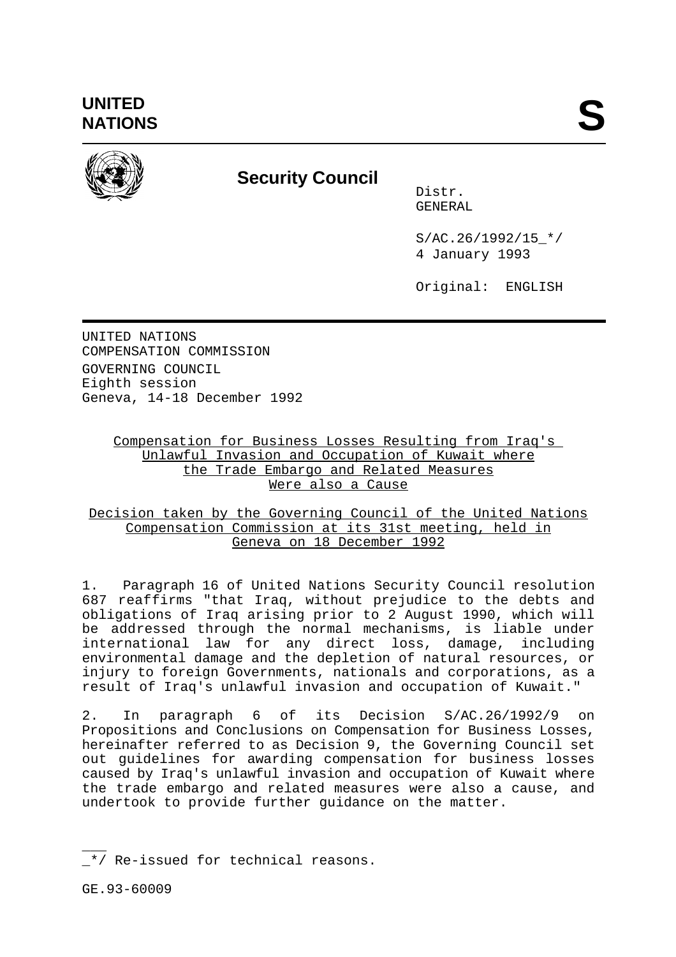

# **Security Council**

Distr. GENERAL

 $S/AC.26/1992/15$  \*/ 4 January 1993

Original: ENGLISH

UNITED NATIONS COMPENSATION COMMISSION GOVERNING COUNCIL Eighth session Geneva, 14-18 December 1992

## Compensation for Business Losses Resulting from Iraq's Unlawful Invasion and Occupation of Kuwait where the Trade Embargo and Related Measures Were also a Cause

### Decision taken by the Governing Council of the United Nations Compensation Commission at its 31st meeting, held in Geneva on 18 December 1992

1. Paragraph 16 of United Nations Security Council resolution 687 reaffirms "that Iraq, without prejudice to the debts and obligations of Iraq arising prior to 2 August 1990, which will be addressed through the normal mechanisms, is liable under international law for any direct loss, damage, including environmental damage and the depletion of natural resources, or injury to foreign Governments, nationals and corporations, as a result of Iraq's unlawful invasion and occupation of Kuwait."

2. In paragraph 6 of its Decision S/AC.26/1992/9 on Propositions and Conclusions on Compensation for Business Losses, hereinafter referred to as Decision 9, the Governing Council set out guidelines for awarding compensation for business losses caused by Iraq's unlawful invasion and occupation of Kuwait where the trade embargo and related measures were also a cause, and undertook to provide further guidance on the matter.

 $\overline{\phantom{a}}$  $\mathcal{L}^*/$  Re-issued for technical reasons.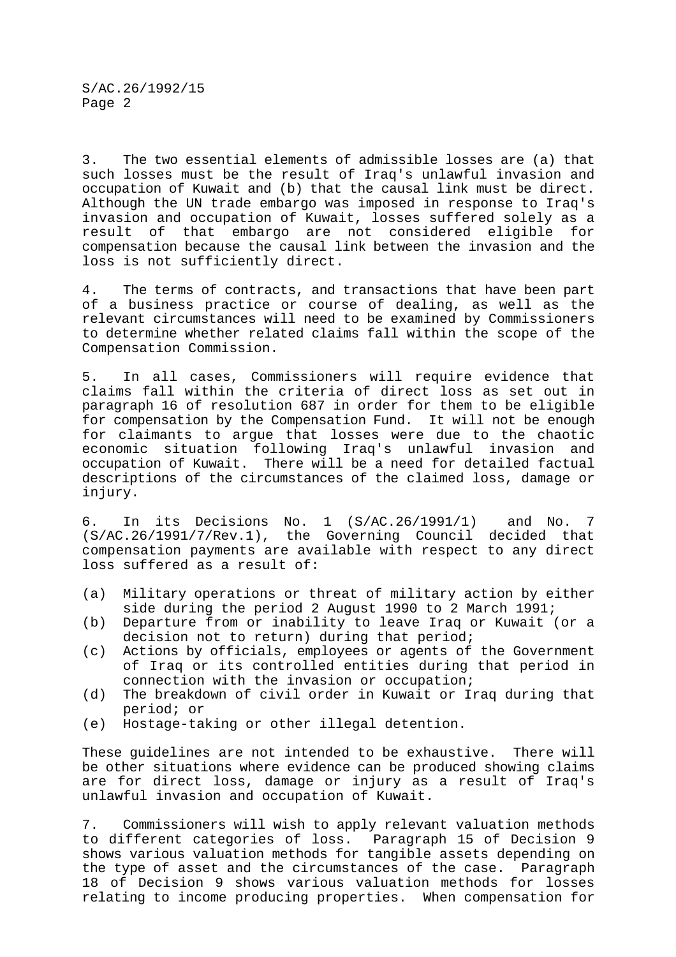3. The two essential elements of admissible losses are (a) that such losses must be the result of Iraq's unlawful invasion and occupation of Kuwait and (b) that the causal link must be direct. Although the UN trade embargo was imposed in response to Iraq's invasion and occupation of Kuwait, losses suffered solely as a result of that embargo are not considered eligible for compensation because the causal link between the invasion and the loss is not sufficiently direct.

4. The terms of contracts, and transactions that have been part of a business practice or course of dealing, as well as the relevant circumstances will need to be examined by Commissioners to determine whether related claims fall within the scope of the Compensation Commission.

5. In all cases, Commissioners will require evidence that claims fall within the criteria of direct loss as set out in paragraph 16 of resolution 687 in order for them to be eligible for compensation by the Compensation Fund. It will not be enough for claimants to argue that losses were due to the chaotic economic situation following Iraq's unlawful invasion and occupation of Kuwait. There will be a need for detailed factual descriptions of the circumstances of the claimed loss, damage or injury.

6. In its Decisions No. 1 (S/AC.26/1991/1) and No. 7 (S/AC.26/1991/7/Rev.1), the Governing Council decided that compensation payments are available with respect to any direct loss suffered as a result of:

- (a) Military operations or threat of military action by either side during the period 2 August 1990 to 2 March 1991;
- (b) Departure from or inability to leave Iraq or Kuwait (or a decision not to return) during that period;
- (c) Actions by officials, employees or agents of the Government of Iraq or its controlled entities during that period in connection with the invasion or occupation;
- (d) The breakdown of civil order in Kuwait or Iraq during that period; or
- (e) Hostage-taking or other illegal detention.

These guidelines are not intended to be exhaustive. There will be other situations where evidence can be produced showing claims are for direct loss, damage or injury as a result of Iraq's unlawful invasion and occupation of Kuwait.

7. Commissioners will wish to apply relevant valuation methods to different categories of loss. Paragraph 15 of Decision 9 shows various valuation methods for tangible assets depending on the type of asset and the circumstances of the case. Paragraph 18 of Decision 9 shows various valuation methods for losses relating to income producing properties. When compensation for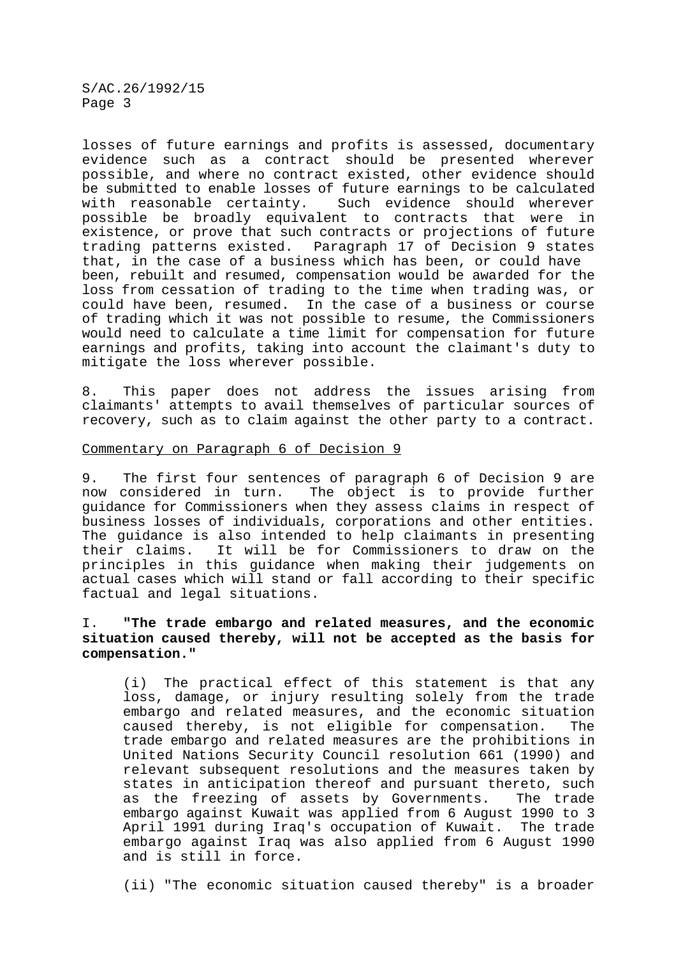S/AC.26/1992/15 Page 3

losses of future earnings and profits is assessed, documentary evidence such as a contract should be presented wherever possible, and where no contract existed, other evidence should be submitted to enable losses of future earnings to be calculated with reasonable certainty. Such evidence should wherever possible be broadly equivalent to contracts that were in existence, or prove that such contracts or projections of future<br>trading patterns existed. Paragraph 17 of Decision 9 states Paragraph 17 of Decision 9 states that, in the case of a business which has been, or could have been, rebuilt and resumed, compensation would be awarded for the loss from cessation of trading to the time when trading was, or<br>could have been, resumed. In the case of a business or course In the case of a business or course of trading which it was not possible to resume, the Commissioners would need to calculate a time limit for compensation for future earnings and profits, taking into account the claimant's duty to mitigate the loss wherever possible.

8. This paper does not address the issues arising from claimants' attempts to avail themselves of particular sources of recovery, such as to claim against the other party to a contract.

#### Commentary on Paragraph 6 of Decision 9

9. The first four sentences of paragraph 6 of Decision 9 are now considered in turn. The object is to provide further guidance for Commissioners when they assess claims in respect of business losses of individuals, corporations and other entities. The guidance is also intended to help claimants in presenting their claims. It will be for Commissioners to draw on the principles in this guidance when making their judgements on actual cases which will stand or fall according to their specific factual and legal situations.

#### I. **"The trade embargo and related measures, and the economic situation caused thereby, will not be accepted as the basis for compensation."**

(i) The practical effect of this statement is that any loss, damage, or injury resulting solely from the trade embargo and related measures, and the economic situation caused thereby, is not eligible for compensation. The trade embargo and related measures are the prohibitions in United Nations Security Council resolution 661 (1990) and relevant subsequent resolutions and the measures taken by states in anticipation thereof and pursuant thereto, such as the freezing of assets by Governments. The trade embargo against Kuwait was applied from 6 August 1990 to 3 April 1991 during Iraq's occupation of Kuwait. The trade embargo against Iraq was also applied from 6 August 1990 and is still in force.

(ii) "The economic situation caused thereby" is a broader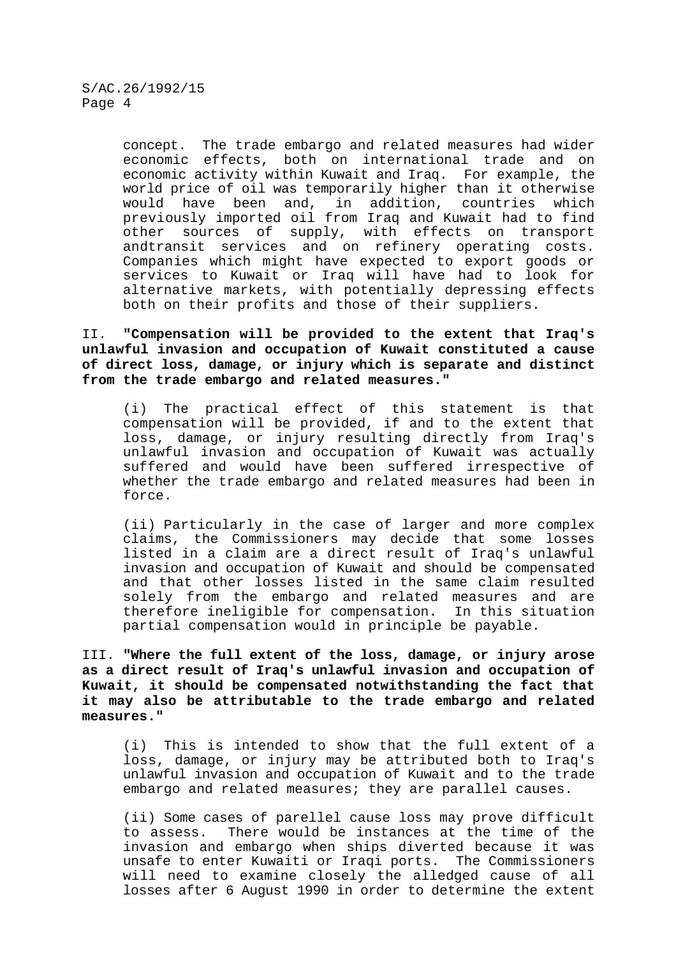concept. The trade embargo and related measures had wider economic effects, both on international trade and on economic activity within Kuwait and Iraq. For example, the world price of oil was temporarily higher than it otherwise would have been and, in addition, countries which previously imported oil from Iraq and Kuwait had to find other sources of supply, with effects on transport andtransit services and on refinery operating costs. Companies which might have expected to export goods or services to Kuwait or Iraq will have had to look for alternative markets, with potentially depressing effects both on their profits and those of their suppliers.

II. **"Compensation will be provided to the extent that Iraq's unlawful invasion and occupation of Kuwait constituted a cause of direct loss, damage, or injury which is separate and distinct from the trade embargo and related measures."**

(i) The practical effect of this statement is that compensation will be provided, if and to the extent that loss, damage, or injury resulting directly from Iraq's unlawful invasion and occupation of Kuwait was actually suffered and would have been suffered irrespective of whether the trade embargo and related measures had been in force.

(ii) Particularly in the case of larger and more complex claims, the Commissioners may decide that some losses listed in a claim are a direct result of Iraq's unlawful invasion and occupation of Kuwait and should be compensated and that other losses listed in the same claim resulted solely from the embargo and related measures and are therefore ineligible for compensation. In this situation partial compensation would in principle be payable.

III. **"Where the full extent of the loss, damage, or injury arose as a direct result of Iraq's unlawful invasion and occupation of Kuwait, it should be compensated notwithstanding the fact that it may also be attributable to the trade embargo and related measures."**

(i) This is intended to show that the full extent of a loss, damage, or injury may be attributed both to Iraq's unlawful invasion and occupation of Kuwait and to the trade embargo and related measures; they are parallel causes.

(ii) Some cases of parellel cause loss may prove difficult to assess. There would be instances at the time of the invasion and embargo when ships diverted because it was unsafe to enter Kuwaiti or Iraqi ports. The Commissioners will need to examine closely the alledged cause of all losses after 6 August 1990 in order to determine the extent